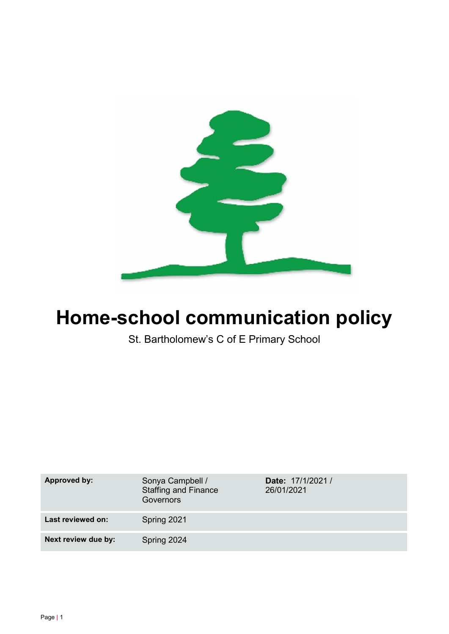

# Home-school communication policy

St. Bartholomew's C of E Primary School

| <b>Approved by:</b> | Sonya Campbell /<br><b>Staffing and Finance</b><br><b>Governors</b> | Date: 17/1/2021 /<br>26/01/2021 |
|---------------------|---------------------------------------------------------------------|---------------------------------|
| Last reviewed on:   | Spring 2021                                                         |                                 |
| Next review due by: | Spring 2024                                                         |                                 |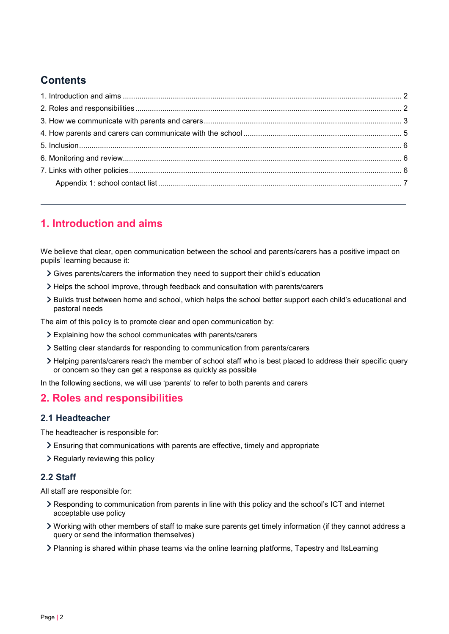# **Contents**

# 1. Introduction and aims

We believe that clear, open communication between the school and parents/carers has a positive impact on pupils' learning because it:

- Gives parents/carers the information they need to support their child's education
- Helps the school improve, through feedback and consultation with parents/carers
- Builds trust between home and school, which helps the school better support each child's educational and pastoral needs

The aim of this policy is to promote clear and open communication by:

- Explaining how the school communicates with parents/carers
- Setting clear standards for responding to communication from parents/carers
- Helping parents/carers reach the member of school staff who is best placed to address their specific query or concern so they can get a response as quickly as possible

In the following sections, we will use 'parents' to refer to both parents and carers

## 2. Roles and responsibilities

#### 2.1 Headteacher

The headteacher is responsible for:

- Ensuring that communications with parents are effective, timely and appropriate
- > Regularly reviewing this policy

#### 2.2 Staff

All staff are responsible for:

- Responding to communication from parents in line with this policy and the school's ICT and internet acceptable use policy
- Working with other members of staff to make sure parents get timely information (if they cannot address a query or send the information themselves)
- Planning is shared within phase teams via the online learning platforms, Tapestry and ItsLearning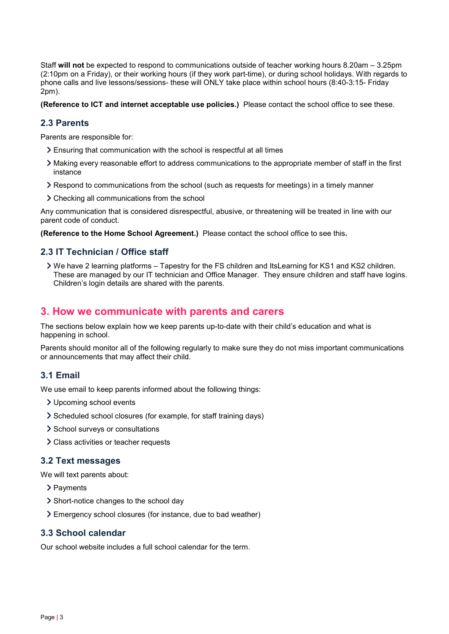Staff will not be expected to respond to communications outside of teacher working hours 8.20am – 3.25pm (2:10pm on a Friday), or their working hours (if they work part-time), or during school holidays. With regards to phone calls and live lessons/sessions- these will ONLY take place within school hours (8:40-3:15- Friday 2pm).

(Reference to ICT and internet acceptable use policies.) Please contact the school office to see these.

#### 2.3 Parents

Parents are responsible for:

- Ensuring that communication with the school is respectful at all times
- Making every reasonable effort to address communications to the appropriate member of staff in the first instance
- Respond to communications from the school (such as requests for meetings) in a timely manner
- Checking all communications from the school

Any communication that is considered disrespectful, abusive, or threatening will be treated in line with our parent code of conduct.

(Reference to the Home School Agreement.) Please contact the school office to see this.

#### 2.3 IT Technician / Office staff

 We have 2 learning platforms – Tapestry for the FS children and ItsLearning for KS1 and KS2 children. These are managed by our IT technician and Office Manager. They ensure children and staff have logins. Children's login details are shared with the parents.

## 3. How we communicate with parents and carers

The sections below explain how we keep parents up-to-date with their child's education and what is happening in school.

Parents should monitor all of the following regularly to make sure they do not miss important communications or announcements that may affect their child.

#### 3.1 Email

We use email to keep parents informed about the following things:

- Upcoming school events
- Scheduled school closures (for example, for staff training days)
- > School surveys or consultations
- Class activities or teacher requests

#### 3.2 Text messages

We will text parents about:

- > Payments
- Short-notice changes to the school day
- Emergency school closures (for instance, due to bad weather)

#### 3.3 School calendar

Our school website includes a full school calendar for the term.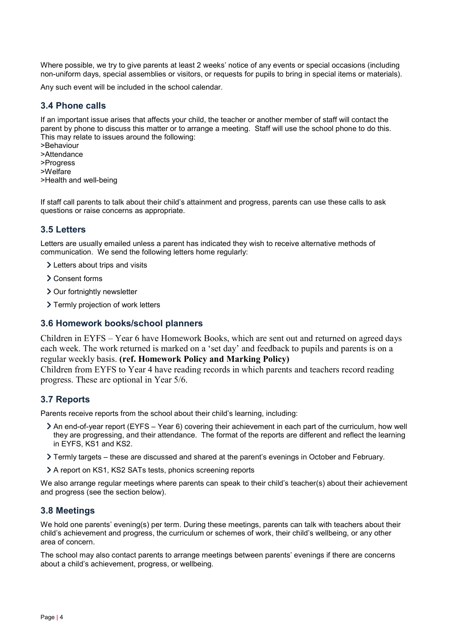Where possible, we try to give parents at least 2 weeks' notice of any events or special occasions (including non-uniform days, special assemblies or visitors, or requests for pupils to bring in special items or materials).

Any such event will be included in the school calendar.

#### 3.4 Phone calls

If an important issue arises that affects your child, the teacher or another member of staff will contact the parent by phone to discuss this matter or to arrange a meeting. Staff will use the school phone to do this. This may relate to issues around the following:

>Behaviour >Attendance >Progress >Welfare

>Health and well-being

If staff call parents to talk about their child's attainment and progress, parents can use these calls to ask questions or raise concerns as appropriate.

#### 3.5 Letters

Letters are usually emailed unless a parent has indicated they wish to receive alternative methods of communication. We send the following letters home regularly:

- Letters about trips and visits
- Consent forms
- > Our fortnightly newsletter
- > Termly projection of work letters

#### 3.6 Homework books/school planners

Children in EYFS – Year 6 have Homework Books, which are sent out and returned on agreed days each week. The work returned is marked on a 'set day' and feedback to pupils and parents is on a regular weekly basis. (ref. Homework Policy and Marking Policy)

Children from EYFS to Year 4 have reading records in which parents and teachers record reading progress. These are optional in Year 5/6.

#### 3.7 Reports

Parents receive reports from the school about their child's learning, including:

- An end-of-year report (EYFS Year 6) covering their achievement in each part of the curriculum, how well they are progressing, and their attendance. The format of the reports are different and reflect the learning in EYFS, KS1 and KS2.
- Termly targets these are discussed and shared at the parent's evenings in October and February.
- A report on KS1, KS2 SATs tests, phonics screening reports

We also arrange regular meetings where parents can speak to their child's teacher(s) about their achievement and progress (see the section below).

#### 3.8 Meetings

We hold one parents' evening(s) per term. During these meetings, parents can talk with teachers about their child's achievement and progress, the curriculum or schemes of work, their child's wellbeing, or any other area of concern.

The school may also contact parents to arrange meetings between parents' evenings if there are concerns about a child's achievement, progress, or wellbeing.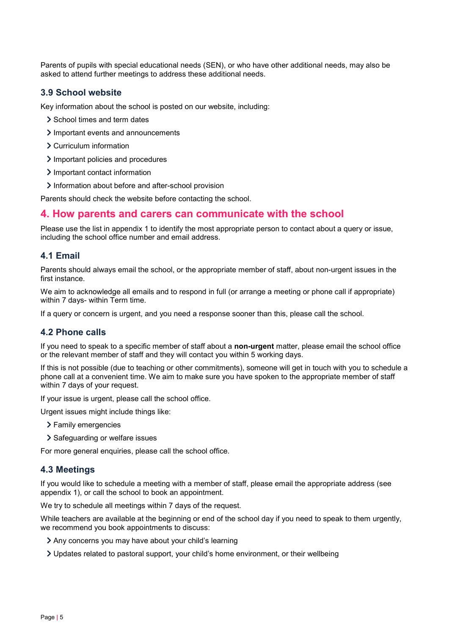Parents of pupils with special educational needs (SEN), or who have other additional needs, may also be asked to attend further meetings to address these additional needs.

#### 3.9 School website

Key information about the school is posted on our website, including:

- > School times and term dates
- Important events and announcements
- Curriculum information
- > Important policies and procedures
- > Important contact information
- > Information about before and after-school provision

Parents should check the website before contacting the school.

#### 4. How parents and carers can communicate with the school

Please use the list in appendix 1 to identify the most appropriate person to contact about a query or issue, including the school office number and email address.

#### 4.1 Email

Parents should always email the school, or the appropriate member of staff, about non-urgent issues in the first instance.

We aim to acknowledge all emails and to respond in full (or arrange a meeting or phone call if appropriate) within 7 days- within Term time.

If a query or concern is urgent, and you need a response sooner than this, please call the school.

#### 4.2 Phone calls

If you need to speak to a specific member of staff about a **non-urgent** matter, please email the school office or the relevant member of staff and they will contact you within 5 working days.

If this is not possible (due to teaching or other commitments), someone will get in touch with you to schedule a phone call at a convenient time. We aim to make sure you have spoken to the appropriate member of staff within 7 days of your request.

If your issue is urgent, please call the school office.

Urgent issues might include things like:

- Family emergencies
- > Safeguarding or welfare issues

For more general enquiries, please call the school office.

#### 4.3 Meetings

If you would like to schedule a meeting with a member of staff, please email the appropriate address (see appendix 1), or call the school to book an appointment.

We try to schedule all meetings within 7 days of the request.

While teachers are available at the beginning or end of the school day if you need to speak to them urgently, we recommend you book appointments to discuss:

- Any concerns you may have about your child's learning
- Updates related to pastoral support, your child's home environment, or their wellbeing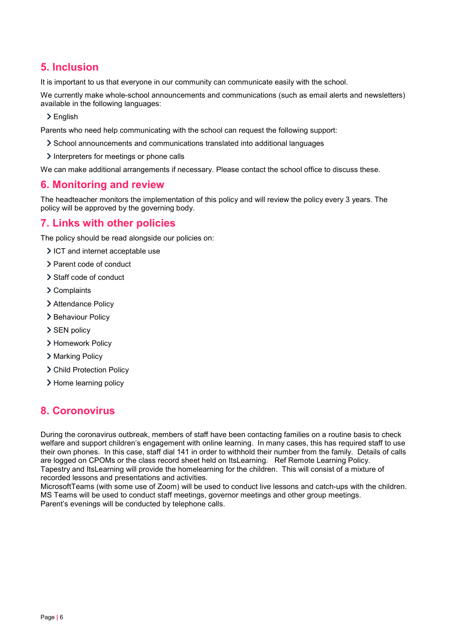# 5. Inclusion

It is important to us that everyone in our community can communicate easily with the school.

We currently make whole-school announcements and communications (such as email alerts and newsletters) available in the following languages:

> English

Parents who need help communicating with the school can request the following support:

- School announcements and communications translated into additional languages
- $\geq$  Interpreters for meetings or phone calls

We can make additional arrangements if necessary. Please contact the school office to discuss these.

## 6. Monitoring and review

The headteacher monitors the implementation of this policy and will review the policy every 3 years. The policy will be approved by the governing body.

## 7. Links with other policies

The policy should be read alongside our policies on:

- ICT and internet acceptable use
- > Parent code of conduct
- Staff code of conduct
- Complaints
- > Attendance Policy
- > Behaviour Policy
- SEN policy
- > Homework Policy
- > Marking Policy
- > Child Protection Policy
- > Home learning policy

# 8. Coronovirus

During the coronavirus outbreak, members of staff have been contacting families on a routine basis to check welfare and support children's engagement with online learning. In many cases, this has required staff to use their own phones. In this case, staff dial 141 in order to withhold their number from the family. Details of calls are logged on CPOMs or the class record sheet held on ItsLearning. Ref Remote Learning Policy. Tapestry and ItsLearning will provide the homelearning for the children. This will consist of a mixture of recorded lessons and presentations and activities.

MicrosoftTeams (with some use of Zoom) will be used to conduct live lessons and catch-ups with the children. MS Teams will be used to conduct staff meetings, governor meetings and other group meetings. Parent's evenings will be conducted by telephone calls.